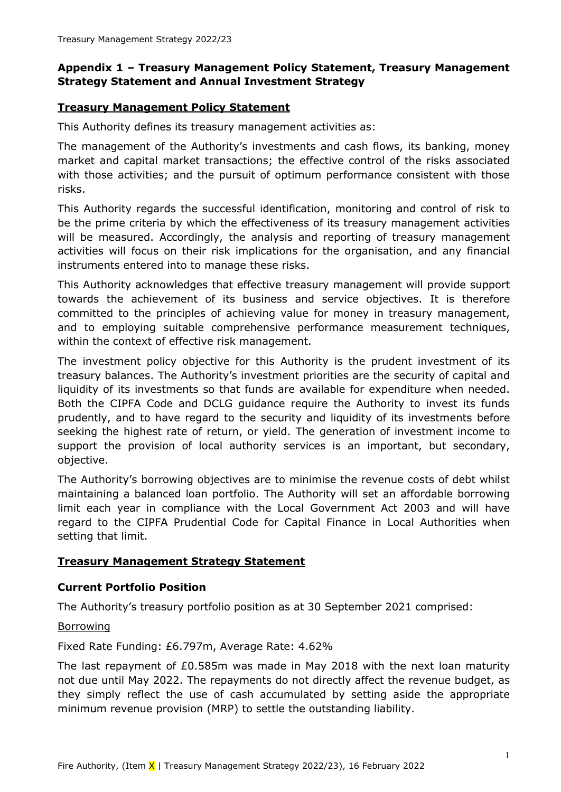### **Appendix 1 – Treasury Management Policy Statement, Treasury Management Strategy Statement and Annual Investment Strategy**

### **Treasury Management Policy Statement**

This Authority defines its treasury management activities as:

The management of the Authority's investments and cash flows, its banking, money market and capital market transactions; the effective control of the risks associated with those activities; and the pursuit of optimum performance consistent with those risks.

This Authority regards the successful identification, monitoring and control of risk to be the prime criteria by which the effectiveness of its treasury management activities will be measured. Accordingly, the analysis and reporting of treasury management activities will focus on their risk implications for the organisation, and any financial instruments entered into to manage these risks.

This Authority acknowledges that effective treasury management will provide support towards the achievement of its business and service objectives. It is therefore committed to the principles of achieving value for money in treasury management, and to employing suitable comprehensive performance measurement techniques, within the context of effective risk management.

The investment policy objective for this Authority is the prudent investment of its treasury balances. The Authority's investment priorities are the security of capital and liquidity of its investments so that funds are available for expenditure when needed. Both the CIPFA Code and DCLG guidance require the Authority to invest its funds prudently, and to have regard to the security and liquidity of its investments before seeking the highest rate of return, or yield. The generation of investment income to support the provision of local authority services is an important, but secondary, objective.

The Authority's borrowing objectives are to minimise the revenue costs of debt whilst maintaining a balanced loan portfolio. The Authority will set an affordable borrowing limit each year in compliance with the Local Government Act 2003 and will have regard to the CIPFA Prudential Code for Capital Finance in Local Authorities when setting that limit.

### **Treasury Management Strategy Statement**

### **Current Portfolio Position**

The Authority's treasury portfolio position as at 30 September 2021 comprised:

#### Borrowing

Fixed Rate Funding: £6.797m, Average Rate: 4.62%

The last repayment of £0.585m was made in May 2018 with the next loan maturity not due until May 2022. The repayments do not directly affect the revenue budget, as they simply reflect the use of cash accumulated by setting aside the appropriate minimum revenue provision (MRP) to settle the outstanding liability.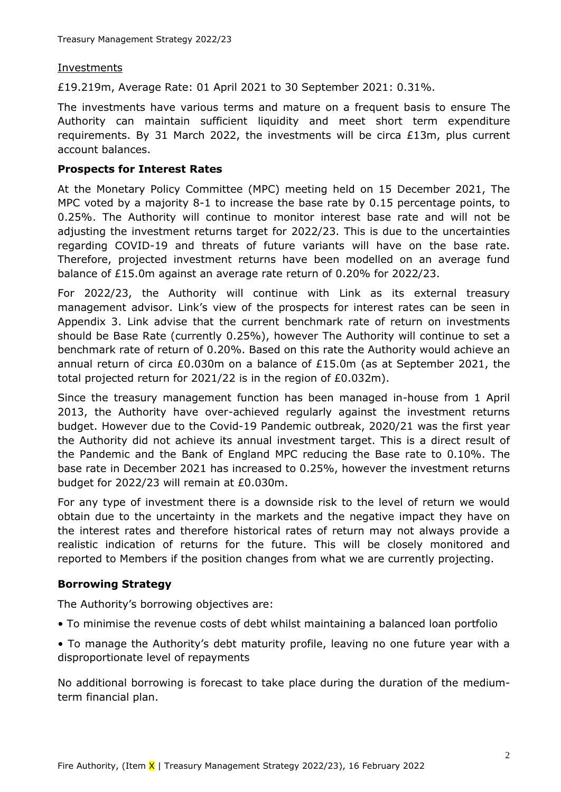#### Investments

£19.219m, Average Rate: 01 April 2021 to 30 September 2021: 0.31%.

The investments have various terms and mature on a frequent basis to ensure The Authority can maintain sufficient liquidity and meet short term expenditure requirements. By 31 March 2022, the investments will be circa £13m, plus current account balances.

#### **Prospects for Interest Rates**

At the Monetary Policy Committee (MPC) meeting held on 15 December 2021, The MPC voted by a majority 8-1 to increase the base rate by 0.15 percentage points, to 0.25%. The Authority will continue to monitor interest base rate and will not be adjusting the investment returns target for 2022/23. This is due to the uncertainties regarding COVID-19 and threats of future variants will have on the base rate. Therefore, projected investment returns have been modelled on an average fund balance of £15.0m against an average rate return of 0.20% for 2022/23.

For 2022/23, the Authority will continue with Link as its external treasury management advisor. Link's view of the prospects for interest rates can be seen in Appendix 3. Link advise that the current benchmark rate of return on investments should be Base Rate (currently 0.25%), however The Authority will continue to set a benchmark rate of return of 0.20%. Based on this rate the Authority would achieve an annual return of circa £0.030m on a balance of £15.0m (as at September 2021, the total projected return for 2021/22 is in the region of £0.032m).

Since the treasury management function has been managed in-house from 1 April 2013, the Authority have over-achieved regularly against the investment returns budget. However due to the Covid-19 Pandemic outbreak, 2020/21 was the first year the Authority did not achieve its annual investment target. This is a direct result of the Pandemic and the Bank of England MPC reducing the Base rate to 0.10%. The base rate in December 2021 has increased to 0.25%, however the investment returns budget for 2022/23 will remain at £0.030m.

For any type of investment there is a downside risk to the level of return we would obtain due to the uncertainty in the markets and the negative impact they have on the interest rates and therefore historical rates of return may not always provide a realistic indication of returns for the future. This will be closely monitored and reported to Members if the position changes from what we are currently projecting.

### **Borrowing Strategy**

The Authority's borrowing objectives are:

• To minimise the revenue costs of debt whilst maintaining a balanced loan portfolio

• To manage the Authority's debt maturity profile, leaving no one future year with a disproportionate level of repayments

No additional borrowing is forecast to take place during the duration of the mediumterm financial plan.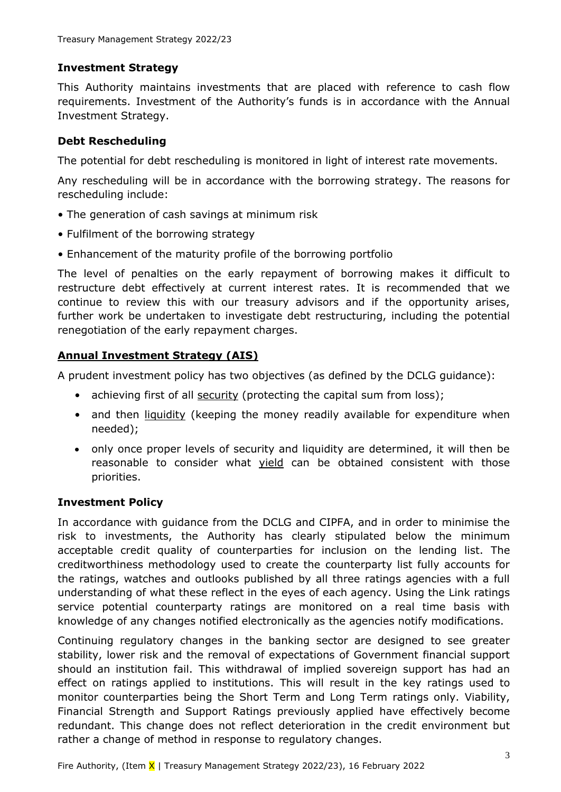### **Investment Strategy**

This Authority maintains investments that are placed with reference to cash flow requirements. Investment of the Authority's funds is in accordance with the Annual Investment Strategy.

### **Debt Rescheduling**

The potential for debt rescheduling is monitored in light of interest rate movements.

Any rescheduling will be in accordance with the borrowing strategy. The reasons for rescheduling include:

- The generation of cash savings at minimum risk
- Fulfilment of the borrowing strategy
- Enhancement of the maturity profile of the borrowing portfolio

The level of penalties on the early repayment of borrowing makes it difficult to restructure debt effectively at current interest rates. It is recommended that we continue to review this with our treasury advisors and if the opportunity arises, further work be undertaken to investigate debt restructuring, including the potential renegotiation of the early repayment charges.

# **Annual Investment Strategy (AIS)**

A prudent investment policy has two objectives (as defined by the DCLG guidance):

- achieving first of all security (protecting the capital sum from loss);
- and then *liquidity* (keeping the money readily available for expenditure when needed);
- only once proper levels of security and liquidity are determined, it will then be reasonable to consider what yield can be obtained consistent with those priorities.

# **Investment Policy**

In accordance with guidance from the DCLG and CIPFA, and in order to minimise the risk to investments, the Authority has clearly stipulated below the minimum acceptable credit quality of counterparties for inclusion on the lending list. The creditworthiness methodology used to create the counterparty list fully accounts for the ratings, watches and outlooks published by all three ratings agencies with a full understanding of what these reflect in the eyes of each agency. Using the Link ratings service potential counterparty ratings are monitored on a real time basis with knowledge of any changes notified electronically as the agencies notify modifications.

Continuing regulatory changes in the banking sector are designed to see greater stability, lower risk and the removal of expectations of Government financial support should an institution fail. This withdrawal of implied sovereign support has had an effect on ratings applied to institutions. This will result in the key ratings used to monitor counterparties being the Short Term and Long Term ratings only. Viability, Financial Strength and Support Ratings previously applied have effectively become redundant. This change does not reflect deterioration in the credit environment but rather a change of method in response to regulatory changes.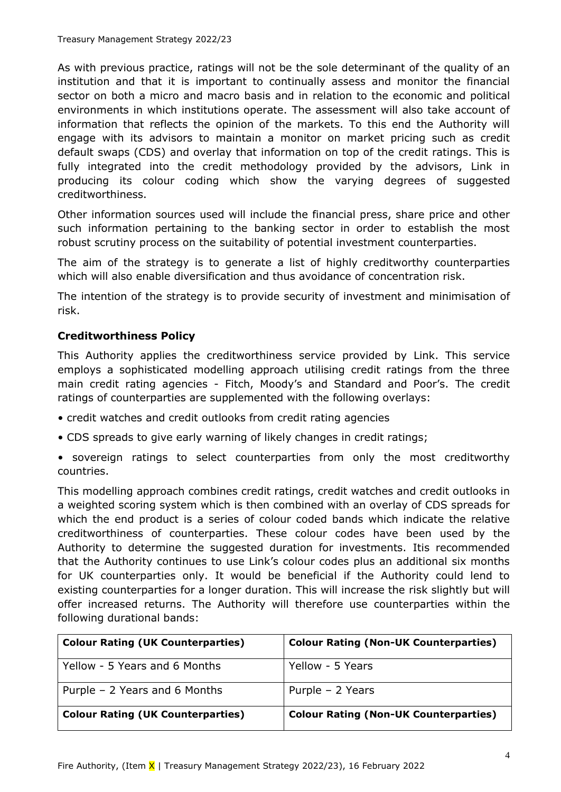As with previous practice, ratings will not be the sole determinant of the quality of an institution and that it is important to continually assess and monitor the financial sector on both a micro and macro basis and in relation to the economic and political environments in which institutions operate. The assessment will also take account of information that reflects the opinion of the markets. To this end the Authority will engage with its advisors to maintain a monitor on market pricing such as credit default swaps (CDS) and overlay that information on top of the credit ratings. This is fully integrated into the credit methodology provided by the advisors, Link in producing its colour coding which show the varying degrees of suggested creditworthiness.

Other information sources used will include the financial press, share price and other such information pertaining to the banking sector in order to establish the most robust scrutiny process on the suitability of potential investment counterparties.

The aim of the strategy is to generate a list of highly creditworthy counterparties which will also enable diversification and thus avoidance of concentration risk.

The intention of the strategy is to provide security of investment and minimisation of risk.

### **Creditworthiness Policy**

This Authority applies the creditworthiness service provided by Link. This service employs a sophisticated modelling approach utilising credit ratings from the three main credit rating agencies - Fitch, Moody's and Standard and Poor's. The credit ratings of counterparties are supplemented with the following overlays:

- credit watches and credit outlooks from credit rating agencies
- CDS spreads to give early warning of likely changes in credit ratings;
- sovereign ratings to select counterparties from only the most creditworthy countries.

This modelling approach combines credit ratings, credit watches and credit outlooks in a weighted scoring system which is then combined with an overlay of CDS spreads for which the end product is a series of colour coded bands which indicate the relative creditworthiness of counterparties. These colour codes have been used by the Authority to determine the suggested duration for investments. Itis recommended that the Authority continues to use Link's colour codes plus an additional six months for UK counterparties only. It would be beneficial if the Authority could lend to existing counterparties for a longer duration. This will increase the risk slightly but will offer increased returns. The Authority will therefore use counterparties within the following durational bands:

| <b>Colour Rating (UK Counterparties)</b> | <b>Colour Rating (Non-UK Counterparties)</b> |
|------------------------------------------|----------------------------------------------|
| Yellow - 5 Years and 6 Months            | Yellow - 5 Years                             |
| Purple $-2$ Years and 6 Months           | Purple - 2 Years                             |
| <b>Colour Rating (UK Counterparties)</b> | <b>Colour Rating (Non-UK Counterparties)</b> |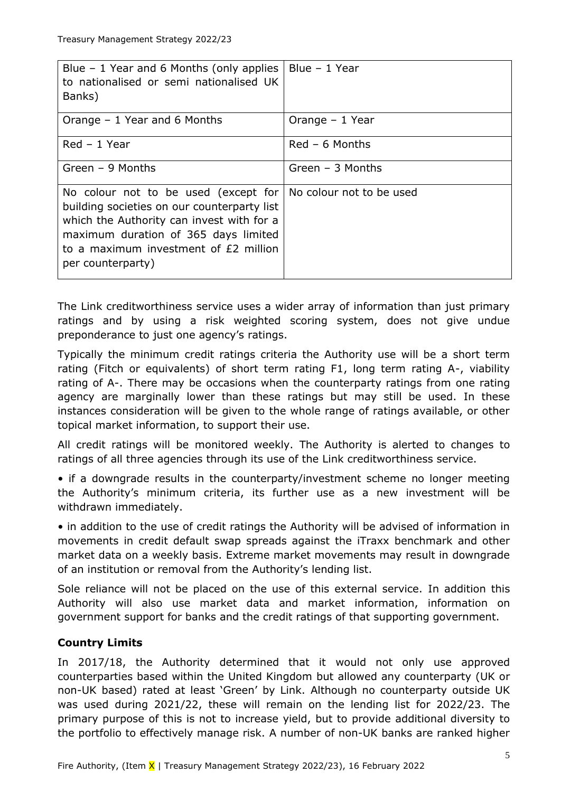| Blue $-1$ Year and 6 Months (only applies<br>to nationalised or semi nationalised UK<br>Banks)                                                                                                                                         | Blue $-1$ Year           |
|----------------------------------------------------------------------------------------------------------------------------------------------------------------------------------------------------------------------------------------|--------------------------|
| Orange $-1$ Year and 6 Months                                                                                                                                                                                                          | Orange $-1$ Year         |
| Red - 1 Year                                                                                                                                                                                                                           | $Red - 6$ Months         |
| Green $-9$ Months                                                                                                                                                                                                                      | Green $-$ 3 Months       |
| No colour not to be used (except for<br>building societies on our counterparty list<br>which the Authority can invest with for a<br>maximum duration of 365 days limited<br>to a maximum investment of £2 million<br>per counterparty) | No colour not to be used |

The Link creditworthiness service uses a wider array of information than just primary ratings and by using a risk weighted scoring system, does not give undue preponderance to just one agency's ratings.

Typically the minimum credit ratings criteria the Authority use will be a short term rating (Fitch or equivalents) of short term rating F1, long term rating A-, viability rating of A-. There may be occasions when the counterparty ratings from one rating agency are marginally lower than these ratings but may still be used. In these instances consideration will be given to the whole range of ratings available, or other topical market information, to support their use.

All credit ratings will be monitored weekly. The Authority is alerted to changes to ratings of all three agencies through its use of the Link creditworthiness service.

• if a downgrade results in the counterparty/investment scheme no longer meeting the Authority's minimum criteria, its further use as a new investment will be withdrawn immediately.

• in addition to the use of credit ratings the Authority will be advised of information in movements in credit default swap spreads against the iTraxx benchmark and other market data on a weekly basis. Extreme market movements may result in downgrade of an institution or removal from the Authority's lending list.

Sole reliance will not be placed on the use of this external service. In addition this Authority will also use market data and market information, information on government support for banks and the credit ratings of that supporting government.

# **Country Limits**

In 2017/18, the Authority determined that it would not only use approved counterparties based within the United Kingdom but allowed any counterparty (UK or non-UK based) rated at least 'Green' by Link. Although no counterparty outside UK was used during 2021/22, these will remain on the lending list for 2022/23. The primary purpose of this is not to increase yield, but to provide additional diversity to the portfolio to effectively manage risk. A number of non-UK banks are ranked higher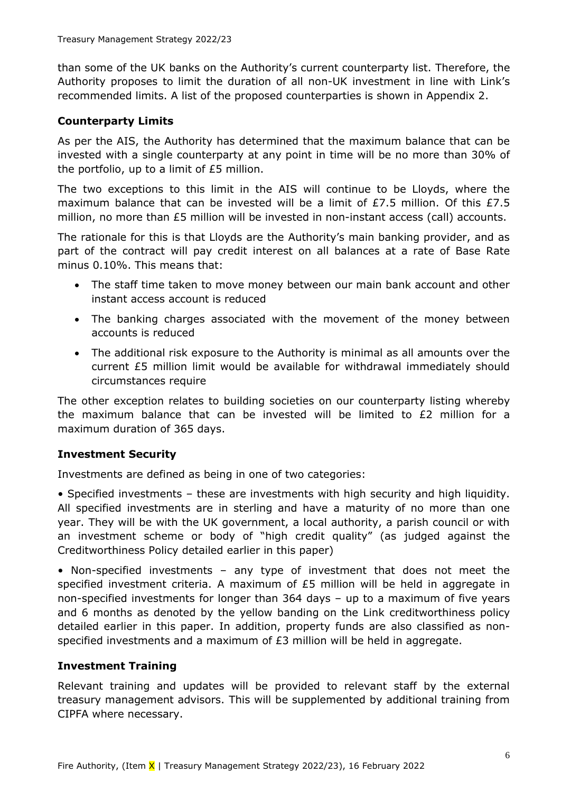than some of the UK banks on the Authority's current counterparty list. Therefore, the Authority proposes to limit the duration of all non-UK investment in line with Link's recommended limits. A list of the proposed counterparties is shown in Appendix 2.

### **Counterparty Limits**

As per the AIS, the Authority has determined that the maximum balance that can be invested with a single counterparty at any point in time will be no more than 30% of the portfolio, up to a limit of £5 million.

The two exceptions to this limit in the AIS will continue to be Lloyds, where the maximum balance that can be invested will be a limit of  $E7.5$  million. Of this  $E7.5$ million, no more than £5 million will be invested in non-instant access (call) accounts.

The rationale for this is that Lloyds are the Authority's main banking provider, and as part of the contract will pay credit interest on all balances at a rate of Base Rate minus 0.10%. This means that:

- The staff time taken to move money between our main bank account and other instant access account is reduced
- The banking charges associated with the movement of the money between accounts is reduced
- The additional risk exposure to the Authority is minimal as all amounts over the current £5 million limit would be available for withdrawal immediately should circumstances require

The other exception relates to building societies on our counterparty listing whereby the maximum balance that can be invested will be limited to  $E2$  million for a maximum duration of 365 days.

# **Investment Security**

Investments are defined as being in one of two categories:

• Specified investments – these are investments with high security and high liquidity. All specified investments are in sterling and have a maturity of no more than one year. They will be with the UK government, a local authority, a parish council or with an investment scheme or body of "high credit quality" (as judged against the Creditworthiness Policy detailed earlier in this paper)

• Non-specified investments – any type of investment that does not meet the specified investment criteria. A maximum of  $E5$  million will be held in aggregate in non-specified investments for longer than 364 days – up to a maximum of five years and 6 months as denoted by the yellow banding on the Link creditworthiness policy detailed earlier in this paper. In addition, property funds are also classified as nonspecified investments and a maximum of  $E_3$  million will be held in aggregate.

### **Investment Training**

Relevant training and updates will be provided to relevant staff by the external treasury management advisors. This will be supplemented by additional training from CIPFA where necessary.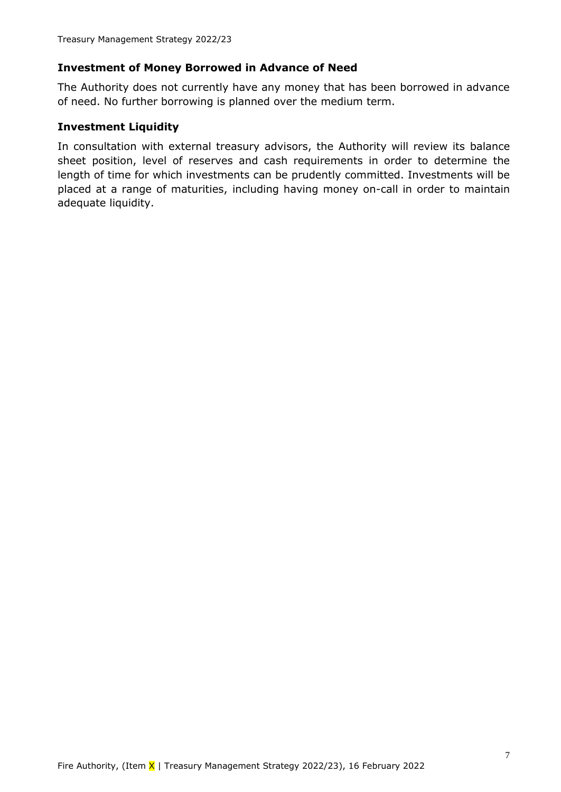### **Investment of Money Borrowed in Advance of Need**

The Authority does not currently have any money that has been borrowed in advance of need. No further borrowing is planned over the medium term.

### **Investment Liquidity**

In consultation with external treasury advisors, the Authority will review its balance sheet position, level of reserves and cash requirements in order to determine the length of time for which investments can be prudently committed. Investments will be placed at a range of maturities, including having money on-call in order to maintain adequate liquidity.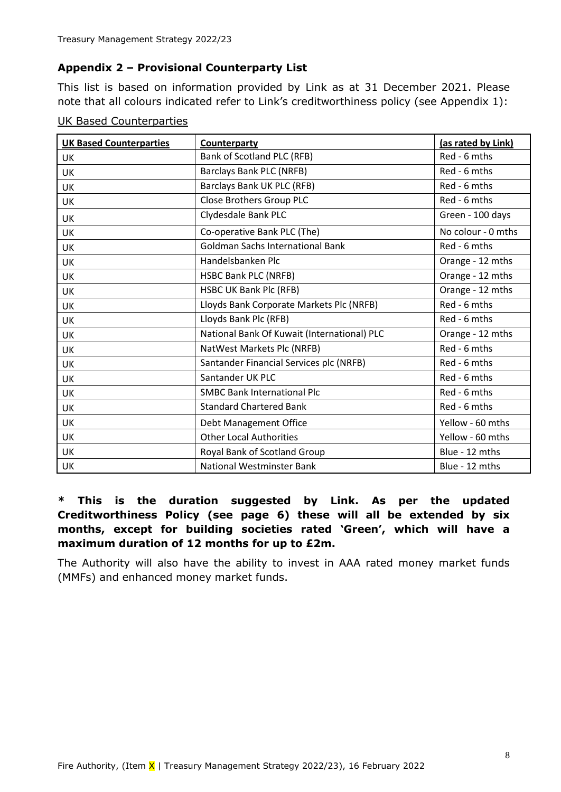### **Appendix 2 – Provisional Counterparty List**

This list is based on information provided by Link as at 31 December 2021. Please note that all colours indicated refer to Link's creditworthiness policy (see Appendix 1):

| <b>UK Based Counterparties</b> | Counterparty                                | (as rated by Link) |
|--------------------------------|---------------------------------------------|--------------------|
| UK                             | Bank of Scotland PLC (RFB)                  | Red - 6 mths       |
| <b>UK</b>                      | <b>Barclays Bank PLC (NRFB)</b>             | Red - 6 mths       |
| UK                             | Barclays Bank UK PLC (RFB)                  | Red - 6 mths       |
| <b>UK</b>                      | Close Brothers Group PLC                    | Red - 6 mths       |
| <b>UK</b>                      | Clydesdale Bank PLC                         | Green - 100 days   |
| <b>UK</b>                      | Co-operative Bank PLC (The)                 | No colour - 0 mths |
| UK                             | <b>Goldman Sachs International Bank</b>     | Red - 6 mths       |
| UK                             | Handelsbanken Plc                           | Orange - 12 mths   |
| UK                             | <b>HSBC Bank PLC (NRFB)</b>                 | Orange - 12 mths   |
| <b>UK</b>                      | HSBC UK Bank Plc (RFB)                      | Orange - 12 mths   |
| <b>UK</b>                      | Lloyds Bank Corporate Markets Plc (NRFB)    | Red - 6 mths       |
| UK                             | Lloyds Bank Plc (RFB)                       | Red - 6 mths       |
| <b>UK</b>                      | National Bank Of Kuwait (International) PLC | Orange - 12 mths   |
| UK                             | NatWest Markets Plc (NRFB)                  |                    |
| UK                             | Santander Financial Services plc (NRFB)     | Red - 6 mths       |
| UK                             | Santander UK PLC                            | Red - 6 mths       |
| UK                             | <b>SMBC Bank International Plc</b>          | Red - 6 mths       |
| <b>UK</b>                      | <b>Standard Chartered Bank</b>              | Red - 6 mths       |
| UK                             | Debt Management Office                      | Yellow - 60 mths   |
| <b>UK</b>                      | <b>Other Local Authorities</b>              | Yellow - 60 mths   |
| UK                             | Royal Bank of Scotland Group                | Blue - 12 mths     |
| <b>UK</b>                      | <b>National Westminster Bank</b>            | Blue - 12 mths     |

| <b>UK Based Counterparties</b> |
|--------------------------------|
|--------------------------------|

# **\* This is the duration suggested by Link. As per the updated Creditworthiness Policy (see page 6) these will all be extended by six months, except for building societies rated 'Green', which will have a maximum duration of 12 months for up to £2m.**

The Authority will also have the ability to invest in AAA rated money market funds (MMFs) and enhanced money market funds.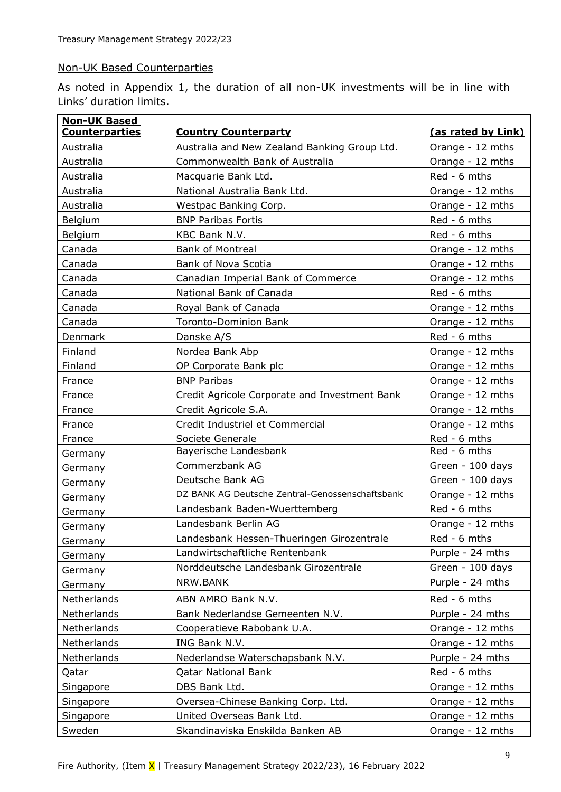#### Non-UK Based Counterparties

As noted in Appendix 1, the duration of all non-UK investments will be in line with Links' duration limits.

| <b>Non-UK Based</b>   |                                                 |                    |  |
|-----------------------|-------------------------------------------------|--------------------|--|
| <b>Counterparties</b> | <b>Country Counterparty</b>                     | (as rated by Link) |  |
| Australia             | Australia and New Zealand Banking Group Ltd.    | Orange - 12 mths   |  |
| Australia             | Commonwealth Bank of Australia                  | Orange - 12 mths   |  |
| Australia             | Macquarie Bank Ltd.                             | Red - 6 mths       |  |
| Australia             | National Australia Bank Ltd.                    | Orange - 12 mths   |  |
| Australia             | Westpac Banking Corp.                           | Orange - 12 mths   |  |
| Belgium               | <b>BNP Paribas Fortis</b>                       | Red - 6 mths       |  |
| Belgium               | KBC Bank N.V.                                   | Red - 6 mths       |  |
| Canada                | <b>Bank of Montreal</b>                         | Orange - 12 mths   |  |
| Canada                | Bank of Nova Scotia                             | Orange - 12 mths   |  |
| Canada                | Canadian Imperial Bank of Commerce              | Orange - 12 mths   |  |
| Canada                | National Bank of Canada                         | Red - 6 mths       |  |
| Canada                | Royal Bank of Canada                            | Orange - 12 mths   |  |
| Canada                | Toronto-Dominion Bank                           | Orange - 12 mths   |  |
| Denmark               | Danske A/S                                      | Red - 6 mths       |  |
| Finland               | Nordea Bank Abp                                 | Orange - 12 mths   |  |
| Finland               | OP Corporate Bank plc                           | Orange - 12 mths   |  |
| France                | <b>BNP Paribas</b>                              | Orange - 12 mths   |  |
| France                | Credit Agricole Corporate and Investment Bank   | Orange - 12 mths   |  |
| France                | Credit Agricole S.A.                            | Orange - 12 mths   |  |
| France                | Credit Industriel et Commercial                 | Orange - 12 mths   |  |
| France                | Societe Generale                                | Red - 6 mths       |  |
| Germany               | Bayerische Landesbank                           | Red - 6 mths       |  |
| Germany               | Commerzbank AG                                  | Green - 100 days   |  |
| Germany               | Deutsche Bank AG                                | Green - 100 days   |  |
| Germany               | DZ BANK AG Deutsche Zentral-Genossenschaftsbank | Orange - 12 mths   |  |
| Germany               | Landesbank Baden-Wuerttemberg                   | Red - 6 mths       |  |
| Germany               | Landesbank Berlin AG                            | Orange - 12 mths   |  |
| Germany               | Landesbank Hessen-Thueringen Girozentrale       | Red - 6 mths       |  |
| Germany               | Landwirtschaftliche Rentenbank                  | Purple - 24 mths   |  |
| Germany               | Norddeutsche Landesbank Girozentrale            | Green - 100 days   |  |
| Germany               | NRW.BANK                                        | Purple - 24 mths   |  |
| Netherlands           | ABN AMRO Bank N.V.                              | Red - 6 mths       |  |
| Netherlands           | Bank Nederlandse Gemeenten N.V.                 | Purple - 24 mths   |  |
| Netherlands           | Cooperatieve Rabobank U.A.                      | Orange - 12 mths   |  |
| Netherlands           | ING Bank N.V.                                   | Orange - 12 mths   |  |
| Netherlands           | Nederlandse Waterschapsbank N.V.                | Purple - 24 mths   |  |
| Qatar                 | <b>Qatar National Bank</b>                      | Red - 6 mths       |  |
| Singapore             | DBS Bank Ltd.                                   | Orange - 12 mths   |  |
| Singapore             | Oversea-Chinese Banking Corp. Ltd.              | Orange - 12 mths   |  |
| Singapore             | United Overseas Bank Ltd.                       | Orange - 12 mths   |  |
| Sweden                | Skandinaviska Enskilda Banken AB                | Orange - 12 mths   |  |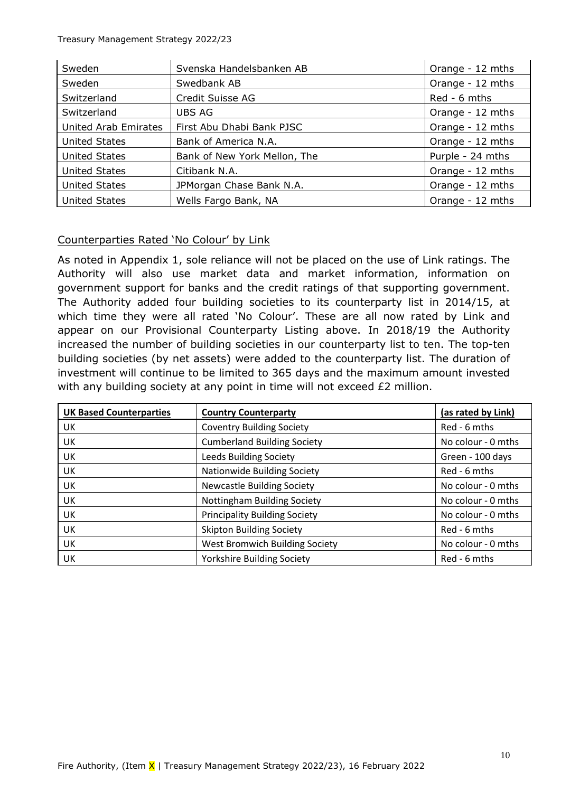| Sweden                      | Svenska Handelsbanken AB     | Orange - 12 mths |
|-----------------------------|------------------------------|------------------|
| Sweden                      | Swedbank AB                  | Orange - 12 mths |
| Switzerland                 | Credit Suisse AG             | Red - 6 mths     |
| Switzerland                 | <b>UBS AG</b>                | Orange - 12 mths |
| <b>United Arab Emirates</b> | First Abu Dhabi Bank PJSC    | Orange - 12 mths |
| <b>United States</b>        | Bank of America N.A.         | Orange - 12 mths |
| <b>United States</b>        | Bank of New York Mellon, The | Purple - 24 mths |
| <b>United States</b>        | Citibank N.A.                | Orange - 12 mths |
| <b>United States</b>        | JPMorgan Chase Bank N.A.     | Orange - 12 mths |
| <b>United States</b>        | Wells Fargo Bank, NA         | Orange - 12 mths |

### Counterparties Rated 'No Colour' by Link

As noted in Appendix 1, sole reliance will not be placed on the use of Link ratings. The Authority will also use market data and market information, information on government support for banks and the credit ratings of that supporting government. The Authority added four building societies to its counterparty list in 2014/15, at which time they were all rated 'No Colour'. These are all now rated by Link and appear on our Provisional Counterparty Listing above. In 2018/19 the Authority increased the number of building societies in our counterparty list to ten. The top-ten building societies (by net assets) were added to the counterparty list. The duration of investment will continue to be limited to 365 days and the maximum amount invested with any building society at any point in time will not exceed £2 million.

| <b>UK Based Counterparties</b> | <b>Country Counterparty</b>          | (as rated by Link) |
|--------------------------------|--------------------------------------|--------------------|
| UK                             | <b>Coventry Building Society</b>     | Red - 6 mths       |
| UK                             | <b>Cumberland Building Society</b>   | No colour - 0 mths |
| UK                             | <b>Leeds Building Society</b>        | Green - 100 days   |
| UK                             | Nationwide Building Society          | Red - 6 mths       |
| UK                             | <b>Newcastle Building Society</b>    | No colour - 0 mths |
| UK                             | Nottingham Building Society          | No colour - 0 mths |
| UK                             | <b>Principality Building Society</b> | No colour - 0 mths |
| UK                             | <b>Skipton Building Society</b>      | Red - 6 mths       |
| UK                             | West Bromwich Building Society       | No colour - 0 mths |
| UK                             | <b>Yorkshire Building Society</b>    | Red - 6 mths       |